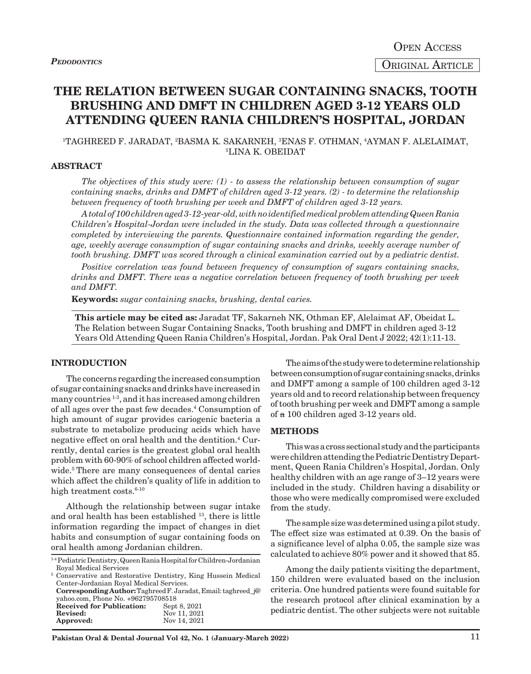# **THE RELATION BETWEEN SUGAR CONTAINING SNACKS, TOOTH BRUSHING AND DMFT IN CHILDREN AGED 3-12 YEARS OLD ATTENDING QUEEN RANIA CHILDREN'S HOSPITAL, JORDAN**

## 'TAGHREED F. JARADAT, <sup>2</sup>BASMA K. SAKARNEH, <sup>3</sup>ENAS F. OTHMAN, <sup>4</sup>AYMAN F. ALELAIMAT,<br>51 INA K. OREIDAT LINA K. OBEIDAT

#### **ABSTRACT**

*The objectives of this study were: (1) - to assess the relationship between consumption of sugar containing snacks, drinks and DMFT of children aged 3-12 years. (2) - to determine the relationship between frequency of tooth brushing per week and DMFT of children aged 3-12 years.*

*A total of 100 children aged 3-12-year-old, with no identified medical problem attending Queen Rania Children's Hospital-Jordan were included in the study. Data was collected through a questionnaire completed by interviewing the parents. Questionnaire contained information regarding the gender, age, weekly average consumption of sugar containing snacks and drinks, weekly average number of tooth brushing. DMFT was scored through a clinical examination carried out by a pediatric dentist.*

*Positive correlation was found between frequency of consumption of sugars containing snacks, drinks and DMFT. There was a negative correlation between frequency of tooth brushing per week and DMFT.*

**Keywords:** *sugar containing snacks, brushing, dental caries.* 

**This article may be cited as:** Jaradat TF, Sakarneh NK, Othman EF, Alelaimat AF, Obeidat L. The Relation between Sugar Containing Snacks, Tooth brushing and DMFT in children aged 3-12 Years Old Attending Queen Rania Children's Hospital, Jordan. Pak Oral Dent J 2022; 42(1):11-13.

### **INTRODUCTION**

The concerns regarding the increased consumption of sugar containing snacks and drinks have increased in many countries 1-3, and it has increased among children of all ages over the past few decades.4 Consumption of high amount of sugar provides cariogenic bacteria a substrate to metabolize producing acids which have negative effect on oral health and the dentition.4 Currently, dental caries is the greatest global oral health problem with 60-90% of school children affected worldwide.<sup>5</sup> There are many consequences of dental caries which affect the children's quality of life in addition to high treatment costs.<sup>6-10</sup>

Although the relationship between sugar intake and oral health has been established 13, there is little information regarding the impact of changes in diet habits and consumption of sugar containing foods on oral health among Jordanian children.

| <sup>1-4</sup> Pediatric Dentistry, Queen Rania Hospital for Children-Jordanian |  |
|---------------------------------------------------------------------------------|--|
| Royal Medical Services                                                          |  |

```
5 Conservative and Restorative Dentistry, King Hussein Medical 
Center-Jordanian Royal Medical Services.
Corresponding Author: Taghreed F. Jaradat, Email: taghreed_j@
yahoo.com, Phone No. +962795708518<br>Received for Publication: Sept 8, 2021
Received for Publication:<br>Revised:
                                       Revised: Nov 11, 2021
Approved:
```
The aims of the study were to determine relationship between consumption of sugar containing snacks, drinks and DMFT among a sample of 100 children aged 3-12 years old and to record relationship between frequency of tooth brushing per week and DMFT among a sample of a 100 children aged 3-12 years old.

## **METHODS**

This was a cross sectional study and the participants were children attending the Pediatric Dentistry Department, Queen Rania Children's Hospital, Jordan. Only healthy children with an age range of 3–12 years were included in the study. Children having a disability or those who were medically compromised were excluded from the study.

The sample size was determined using a pilot study. The effect size was estimated at 0.39. On the basis of a significance level of alpha 0.05, the sample size was calculated to achieve 80% power and it showed that 85.

Among the daily patients visiting the department, 150 children were evaluated based on the inclusion criteria. One hundred patients were found suitable for the research protocol after clinical examination by a pediatric dentist. The other subjects were not suitable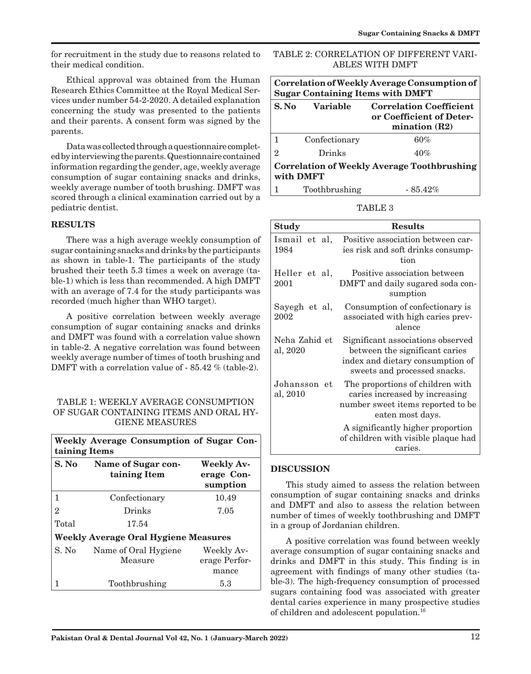for recruitment in the study due to reasons related to their medical condition.

Ethical approval was obtained from the Human Research Ethics Committee at the Royal Medical Services under number 54-2-2020. A detailed explanation concerning the study was presented to the patients and their parents. A consent form was signed by the parents.

Data was collected through a questionnaire completed by interviewing the parents. Questionnaire contained information regarding the gender, age, weekly average consumption of sugar containing snacks and drinks, weekly average number of tooth brushing. DMFT was scored through a clinical examination carried out by a pediatric dentist.

## **RESULTS**

There was a high average weekly consumption of sugar containing snacks and drinks by the participants as shown in table-1. The participants of the study brushed their teeth 5.3 times a week on average (table-1) which is less than recommended. A high DMFT with an average of 7.4 for the study participants was recorded (much higher than WHO target).

A positive correlation between weekly average consumption of sugar containing snacks and drinks and DMFT was found with a correlation value shown in table-2. A negative correlation was found between weekly average number of times of tooth brushing and DMFT with a correlation value of - 85.42 % (table-2).

## TABLE 1: WEEKLY AVERAGE CONSUMPTION OF SUGAR CONTAINING ITEMS AND ORAL HY-GIENE MEASURES

| Weekly Average Consumption of Sugar Con-<br>taining Items |                                                                                   |                                      |  |  |
|-----------------------------------------------------------|-----------------------------------------------------------------------------------|--------------------------------------|--|--|
| S. No                                                     | <b>Weekly Av-</b><br>Name of Sugar con-<br>taining Item<br>erage Con-<br>sumption |                                      |  |  |
| 1                                                         | 10.49<br>Confectionary                                                            |                                      |  |  |
| $\overline{2}$                                            | Drinks<br>7.05                                                                    |                                      |  |  |
| Total                                                     | 17.54                                                                             |                                      |  |  |
| <b>Weekly Average Oral Hygiene Measures</b>               |                                                                                   |                                      |  |  |
| S. No                                                     | Name of Oral Hygiene<br>Measure                                                   | Weekly Av-<br>erage Perfor-<br>mance |  |  |
|                                                           | Toothbrushing                                                                     | 5.3                                  |  |  |

| TABLE 2: CORRELATION OF DIFFERENT VARI- |  |
|-----------------------------------------|--|
| ABLES WITH DMFT                         |  |

| Correlation of Weekly Average Consumption of<br><b>Sugar Containing Items with DMFT</b> |                 |                                                                               |  |  |
|-----------------------------------------------------------------------------------------|-----------------|-------------------------------------------------------------------------------|--|--|
| S. No                                                                                   | <b>Variable</b> | <b>Correlation Coefficient</b><br>or Coefficient of Deter-<br>mination $(R2)$ |  |  |
| 1                                                                                       | Confectionary   | 60%                                                                           |  |  |
| 2                                                                                       | Drinks          | 40%                                                                           |  |  |
| <b>Correlation of Weekly Average Toothbrushing</b><br>with DMFT                         |                 |                                                                               |  |  |
|                                                                                         | Toothbrushing   | $-85.42\%$                                                                    |  |  |

TABLE 3

| <b>Study</b>              | <b>Results</b>                                                                                                                          |
|---------------------------|-----------------------------------------------------------------------------------------------------------------------------------------|
| Ismail et al,<br>1984     | Positive association between car-<br>ies risk and soft drinks consump-<br>tion                                                          |
| Heller et al,<br>2001     | Positive association between<br>DMFT and daily sugared soda con-<br>sumption                                                            |
| Sayegh et al,<br>2002     | Consumption of confectionary is<br>associated with high caries prev-<br>alence                                                          |
| Neha Zahid et<br>al, 2020 | Significant associations observed<br>between the significant caries<br>index and dietary consumption of<br>sweets and processed snacks. |
| Johansson et<br>al, 2010  | The proportions of children with<br>caries increased by increasing<br>number sweet items reported to be<br>eaten most days.             |
|                           | A significantly higher proportion<br>of children with visible plaque had<br>caries.                                                     |

## **DISCUSSION**

This study aimed to assess the relation between consumption of sugar containing snacks and drinks and DMFT and also to assess the relation between number of times of weekly toothbrushing and DMFT in a group of Jordanian children.

A positive correlation was found between weekly average consumption of sugar containing snacks and drinks and DMFT in this study. This finding is in agreement with findings of many other studies (table-3). The high-frequency consumption of processed sugars containing food was associated with greater dental caries experience in many prospective studies of children and adolescent population.16